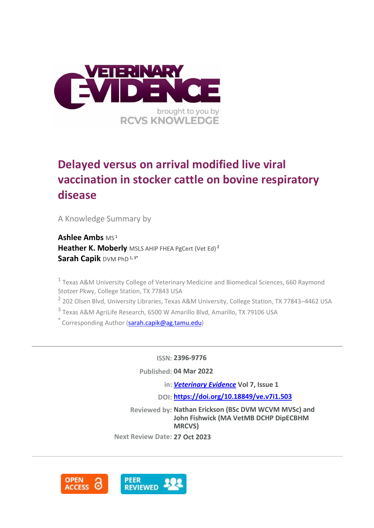

# **Delayed versus on arrival modified live viral vaccination in stocker cattle on bovine respiratory disease**

A Knowledge Summary by

**Ashlee Ambs** MS <sup>1</sup> **Heather K. Moberly** MSLS AHIP FHEA PgCert (Vet Ed)<sup>2</sup> Sarah Capik DVM PhD<sup>1,3\*</sup>

<sup>1</sup> Texas A&M University College of Veterinary Medicine and Biomedical Sciences, 660 Raymond Stotzer Pkwy, College Station, TX 77843 USA

<sup>2</sup> 202 Olsen Blvd, University Libraries, Texas A&M University, College Station, TX 77843-4462 USA

3 Texas A&M AgriLife Research, 6500 W Amarillo Blvd, Amarillo, TX 79106 USA

\* Corresponding Author [\(sarah.capik@ag.tamu.edu\)](sarah.capik@ag.tamu.edu)

**ISSN: 2396-9776**

**Published: 04 Mar 2022**

**in:** *[Veterinary Evidence](https://veterinaryevidence.org/index.php/ve)* **Vol 7, Issue 1**

**DOI: <https://doi.org/10.18849/ve.v7i1.503>**

**Reviewed by: Nathan Erickson (BSc DVM WCVM MVSc) and John Fishwick (MA VetMB DCHP DipECBHM MRCVS)**

**Next Review Date: 27 Oct 2023**

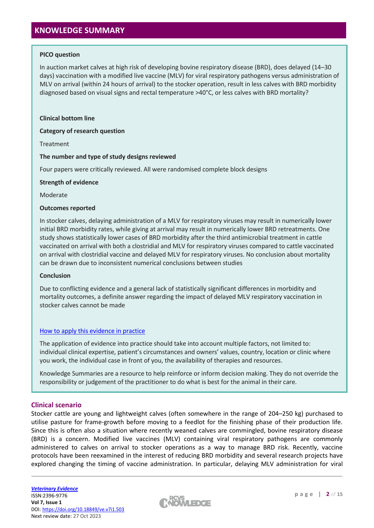# **KNOWLEDGE SUMMARY**

# **PICO question**

In auction market calves at high risk of developing bovine respiratory disease (BRD), does delayed (14–30 days) vaccination with a modified live vaccine (MLV) for viral respiratory pathogens versus administration of MLV on arrival (within 24 hours of arrival) to the stocker operation, result in less calves with BRD morbidity diagnosed based on visual signs and rectal temperature >40°C, or less calves with BRD mortality?

## **Clinical bottom line**

## **Category of research question**

Treatment

## **The number and type of study designs reviewed**

Four papers were critically reviewed. All were randomised complete block designs

## **Strength of evidence**

Moderate

## **Outcomes reported**

In stocker calves, delaying administration of a MLV for respiratory viruses may result in numerically lower initial BRD morbidity rates, while giving at arrival may result in numerically lower BRD retreatments. One study shows statistically lower cases of BRD morbidity after the third antimicrobial treatment in cattle vaccinated on arrival with both a clostridial and MLV for respiratory viruses compared to cattle vaccinated on arrival with clostridial vaccine and delayed MLV for respiratory viruses. No conclusion about mortality can be drawn due to inconsistent numerical conclusions between studies

#### **Conclusion**

Due to conflicting evidence and a general lack of statistically significant differences in morbidity and mortality outcomes, a definite answer regarding the impact of delayed MLV respiratory vaccination in stocker calves cannot be made

#### [How to apply this evidence in practice](https://learn.rcvsknowledge.org/mod/book/view.php?id=50)

The application of evidence into practice should take into account multiple factors, not limited to: individual clinical expertise, patient's circumstances and owners' values, country, location or clinic where you work, the individual case in front of you, the availability of therapies and resources.

Knowledge Summaries are a resource to help reinforce or inform decision making. They do not override the responsibility or judgement of the practitioner to do what is best for the animal in their care.

# **Clinical scenario**

Stocker cattle are young and lightweight calves (often somewhere in the range of 204–250 kg) purchased to utilise pasture for frame-growth before moving to a feedlot for the finishing phase of their production life. Since this is often also a situation where recently weaned calves are commingled, bovine respiratory disease (BRD) is a concern. Modified live vaccines (MLV) containing viral respiratory pathogens are commonly administered to calves on arrival to stocker operations as a way to manage BRD risk. Recently, vaccine protocols have been reexamined in the interest of reducing BRD morbidity and several research projects have explored changing the timing of vaccine administration. In particular, delaying MLV administration for viral

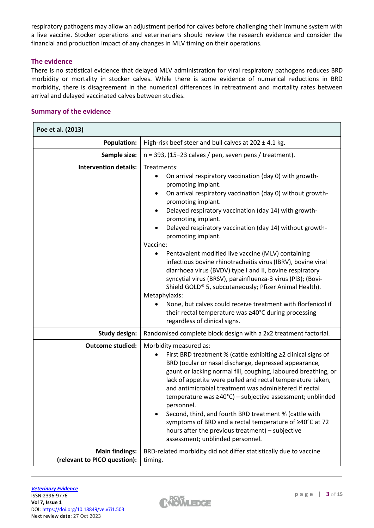respiratory pathogens may allow an adjustment period for calves before challenging their immune system with a live vaccine. Stocker operations and veterinarians should review the research evidence and consider the financial and production impact of any changes in MLV timing on their operations.

# **The evidence**

There is no statistical evidence that delayed MLV administration for viral respiratory pathogens reduces BRD morbidity or mortality in stocker calves. While there is some evidence of numerical reductions in BRD morbidity, there is disagreement in the numerical differences in retreatment and mortality rates between arrival and delayed vaccinated calves between studies.

# **Summary of the evidence**

| Poe et al. (2013)                                     |                                                                                                                                                                                                                                                                                                                                                                                                                                                                                                                                                                                                                                                                                                                                                                                                                                                                                   |
|-------------------------------------------------------|-----------------------------------------------------------------------------------------------------------------------------------------------------------------------------------------------------------------------------------------------------------------------------------------------------------------------------------------------------------------------------------------------------------------------------------------------------------------------------------------------------------------------------------------------------------------------------------------------------------------------------------------------------------------------------------------------------------------------------------------------------------------------------------------------------------------------------------------------------------------------------------|
| <b>Population:</b>                                    | High-risk beef steer and bull calves at 202 ± 4.1 kg.                                                                                                                                                                                                                                                                                                                                                                                                                                                                                                                                                                                                                                                                                                                                                                                                                             |
| Sample size:                                          | $n = 393$ , (15-23 calves / pen, seven pens / treatment).                                                                                                                                                                                                                                                                                                                                                                                                                                                                                                                                                                                                                                                                                                                                                                                                                         |
| <b>Intervention details:</b>                          | Treatments:<br>On arrival respiratory vaccination (day 0) with growth-<br>promoting implant.<br>On arrival respiratory vaccination (day 0) without growth-<br>$\bullet$<br>promoting implant.<br>Delayed respiratory vaccination (day 14) with growth-<br>promoting implant.<br>Delayed respiratory vaccination (day 14) without growth-<br>$\bullet$<br>promoting implant.<br>Vaccine:<br>Pentavalent modified live vaccine (MLV) containing<br>٠<br>infectious bovine rhinotracheitis virus (IBRV), bovine viral<br>diarrhoea virus (BVDV) type I and II, bovine respiratory<br>syncytial virus (BRSV), parainfluenza-3 virus (Pl3); (Bovi-<br>Shield GOLD® 5, subcutaneously; Pfizer Animal Health).<br>Metaphylaxis:<br>None, but calves could receive treatment with florfenicol if<br>their rectal temperature was ≥40°C during processing<br>regardless of clinical signs. |
| <b>Study design:</b>                                  | Randomised complete block design with a 2x2 treatment factorial.                                                                                                                                                                                                                                                                                                                                                                                                                                                                                                                                                                                                                                                                                                                                                                                                                  |
| <b>Outcome studied:</b>                               | Morbidity measured as:<br>First BRD treatment % (cattle exhibiting ≥2 clinical signs of<br>$\bullet$<br>BRD (ocular or nasal discharge, depressed appearance,<br>gaunt or lacking normal fill, coughing, laboured breathing, or<br>lack of appetite were pulled and rectal temperature taken,<br>and antimicrobial treatment was administered if rectal<br>temperature was ≥40°C) - subjective assessment; unblinded<br>personnel.<br>Second, third, and fourth BRD treatment % (cattle with<br>$\bullet$<br>symptoms of BRD and a rectal temperature of ≥40°C at 72<br>hours after the previous treatment) - subjective<br>assessment; unblinded personnel.                                                                                                                                                                                                                      |
| <b>Main findings:</b><br>(relevant to PICO question): | BRD-related morbidity did not differ statistically due to vaccine<br>timing.                                                                                                                                                                                                                                                                                                                                                                                                                                                                                                                                                                                                                                                                                                                                                                                                      |

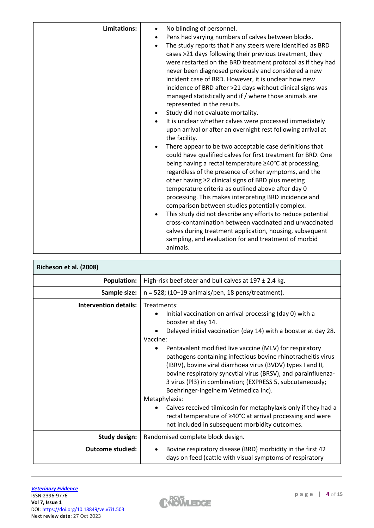| <b>Limitations:</b> |                                                                                                                                                                                                                                                                                                                                                                                                                                                                                                                                                                                                                                                                                                                                                                                                                                                                                                                                                                                                                                                                                                                                                                                                                                                                                                                                                                                      |
|---------------------|--------------------------------------------------------------------------------------------------------------------------------------------------------------------------------------------------------------------------------------------------------------------------------------------------------------------------------------------------------------------------------------------------------------------------------------------------------------------------------------------------------------------------------------------------------------------------------------------------------------------------------------------------------------------------------------------------------------------------------------------------------------------------------------------------------------------------------------------------------------------------------------------------------------------------------------------------------------------------------------------------------------------------------------------------------------------------------------------------------------------------------------------------------------------------------------------------------------------------------------------------------------------------------------------------------------------------------------------------------------------------------------|
|                     | No blinding of personnel.<br>Pens had varying numbers of calves between blocks.<br>$\bullet$<br>The study reports that if any steers were identified as BRD<br>$\bullet$<br>cases >21 days following their previous treatment, they<br>were restarted on the BRD treatment protocol as if they had<br>never been diagnosed previously and considered a new<br>incident case of BRD. However, it is unclear how new<br>incidence of BRD after >21 days without clinical signs was<br>managed statistically and if / where those animals are<br>represented in the results.<br>Study did not evaluate mortality.<br>$\bullet$<br>It is unclear whether calves were processed immediately<br>$\bullet$<br>upon arrival or after an overnight rest following arrival at<br>the facility.<br>There appear to be two acceptable case definitions that<br>could have qualified calves for first treatment for BRD. One<br>being having a rectal temperature ≥40°C at processing,<br>regardless of the presence of other symptoms, and the<br>other having ≥2 clinical signs of BRD plus meeting<br>temperature criteria as outlined above after day 0<br>processing. This makes interpreting BRD incidence and<br>comparison between studies potentially complex.<br>This study did not describe any efforts to reduce potential<br>cross-contamination between vaccinated and unvaccinated |
|                     | calves during treatment application, housing, subsequent<br>sampling, and evaluation for and treatment of morbid<br>animals.                                                                                                                                                                                                                                                                                                                                                                                                                                                                                                                                                                                                                                                                                                                                                                                                                                                                                                                                                                                                                                                                                                                                                                                                                                                         |

| Richeson et al. (2008)       |                                                                                                                                                                                                                                                                                                                                                                                                                                                                                                                                                                                                                                                                                                                                                |  |
|------------------------------|------------------------------------------------------------------------------------------------------------------------------------------------------------------------------------------------------------------------------------------------------------------------------------------------------------------------------------------------------------------------------------------------------------------------------------------------------------------------------------------------------------------------------------------------------------------------------------------------------------------------------------------------------------------------------------------------------------------------------------------------|--|
| <b>Population:</b>           | High-risk beef steer and bull calves at $197 \pm 2.4$ kg.                                                                                                                                                                                                                                                                                                                                                                                                                                                                                                                                                                                                                                                                                      |  |
| Sample size:                 | $n = 528$ ; (10-19 animals/pen, 18 pens/treatment).                                                                                                                                                                                                                                                                                                                                                                                                                                                                                                                                                                                                                                                                                            |  |
| <b>Intervention details:</b> | Treatments:<br>Initial vaccination on arrival processing (day 0) with a<br>booster at day 14.<br>Delayed initial vaccination (day 14) with a booster at day 28.<br>Vaccine:<br>Pentavalent modified live vaccine (MLV) for respiratory<br>pathogens containing infectious bovine rhinotracheitis virus<br>(IBRV), bovine viral diarrhoea virus (BVDV) types I and II,<br>bovine respiratory syncytial virus (BRSV), and parainfluenza-<br>3 virus (Pl3) in combination; (EXPRESS 5, subcutaneously;<br>Boehringer-Ingelheim Vetmedica Inc).<br>Metaphylaxis:<br>Calves received tilmicosin for metaphylaxis only if they had a<br>rectal temperature of ≥40°C at arrival processing and were<br>not included in subsequent morbidity outcomes. |  |
| <b>Study design:</b>         | Randomised complete block design.                                                                                                                                                                                                                                                                                                                                                                                                                                                                                                                                                                                                                                                                                                              |  |
| <b>Outcome studied:</b>      | Bovine respiratory disease (BRD) morbidity in the first 42<br>$\bullet$<br>days on feed (cattle with visual symptoms of respiratory                                                                                                                                                                                                                                                                                                                                                                                                                                                                                                                                                                                                            |  |

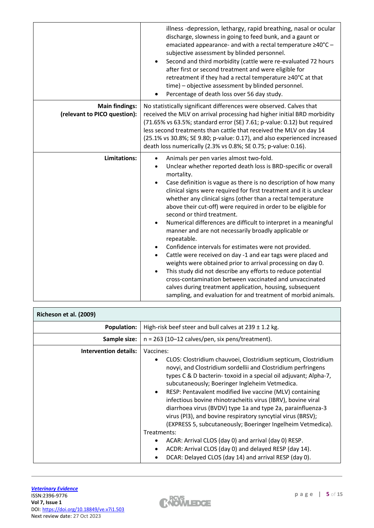|                                                       | illness-depression, lethargy, rapid breathing, nasal or ocular<br>discharge, slowness in going to feed bunk, and a gaunt or<br>emaciated appearance- and with a rectal temperature ≥40°C -<br>subjective assessment by blinded personnel.<br>Second and third morbidity (cattle were re-evaluated 72 hours<br>$\bullet$<br>after first or second treatment and were eligible for<br>retreatment if they had a rectal temperature ≥40°C at that<br>time) - objective assessment by blinded personnel.<br>Percentage of death loss over 56 day study.                                                                                                                                                                                                                                                                                                                                                                                                                                                                                                                               |
|-------------------------------------------------------|-----------------------------------------------------------------------------------------------------------------------------------------------------------------------------------------------------------------------------------------------------------------------------------------------------------------------------------------------------------------------------------------------------------------------------------------------------------------------------------------------------------------------------------------------------------------------------------------------------------------------------------------------------------------------------------------------------------------------------------------------------------------------------------------------------------------------------------------------------------------------------------------------------------------------------------------------------------------------------------------------------------------------------------------------------------------------------------|
| <b>Main findings:</b><br>(relevant to PICO question): | No statistically significant differences were observed. Calves that<br>received the MLV on arrival processing had higher initial BRD morbidity<br>(71.65% vs 63.5%; standard error (SE) 7.61; p-value: 0.12) but required<br>less second treatments than cattle that received the MLV on day 14<br>(25.1% vs 30.8%; SE 9.80; p-value: 0.17), and also experienced increased<br>death loss numerically (2.3% vs 0.8%; SE 0.75; p-value: 0.16).                                                                                                                                                                                                                                                                                                                                                                                                                                                                                                                                                                                                                                     |
| Limitations:                                          | Animals per pen varies almost two-fold.<br>$\bullet$<br>Unclear whether reported death loss is BRD-specific or overall<br>mortality.<br>Case definition is vague as there is no description of how many<br>$\bullet$<br>clinical signs were required for first treatment and it is unclear<br>whether any clinical signs (other than a rectal temperature<br>above their cut-off) were required in order to be eligible for<br>second or third treatment.<br>Numerical differences are difficult to interpret in a meaningful<br>٠<br>manner and are not necessarily broadly applicable or<br>repeatable.<br>Confidence intervals for estimates were not provided.<br>Cattle were received on day -1 and ear tags were placed and<br>$\bullet$<br>weights were obtained prior to arrival processing on day 0.<br>This study did not describe any efforts to reduce potential<br>$\bullet$<br>cross-contamination between vaccinated and unvaccinated<br>calves during treatment application, housing, subsequent<br>sampling, and evaluation for and treatment of morbid animals. |

| Richeson et al. (2009) |                                                                                                                                                                                                                                                                                                                                                                                                                                                                                                                                                                                                                                                                                                                                                                                                             |
|------------------------|-------------------------------------------------------------------------------------------------------------------------------------------------------------------------------------------------------------------------------------------------------------------------------------------------------------------------------------------------------------------------------------------------------------------------------------------------------------------------------------------------------------------------------------------------------------------------------------------------------------------------------------------------------------------------------------------------------------------------------------------------------------------------------------------------------------|
| <b>Population:</b>     | High-risk beef steer and bull calves at $239 \pm 1.2$ kg.                                                                                                                                                                                                                                                                                                                                                                                                                                                                                                                                                                                                                                                                                                                                                   |
| Sample size:           | $n = 263$ (10-12 calves/pen, six pens/treatment).                                                                                                                                                                                                                                                                                                                                                                                                                                                                                                                                                                                                                                                                                                                                                           |
| Intervention details:  | Vaccines:<br>CLOS: Clostridium chauvoei, Clostridium septicum, Clostridium<br>$\bullet$<br>novyi, and Clostridium sordellii and Clostridium perfringens<br>types C & D bacterin-toxoid in a special oil adjuvant; Alpha-7,<br>subcutaneously; Boeringer Ingleheim Vetmedica.<br>RESP: Pentavalent modified live vaccine (MLV) containing<br>$\bullet$<br>infectious bovine rhinotracheitis virus (IBRV), bovine viral<br>diarrhoea virus (BVDV) type 1a and type 2a, parainfluenza-3<br>virus (PI3), and bovine respiratory syncytial virus (BRSV);<br>(EXPRESS 5, subcutaneously; Boeringer Ingelheim Vetmedica).<br>Treatments:<br>ACAR: Arrival CLOS (day 0) and arrival (day 0) RESP.<br>ACDR: Arrival CLOS (day 0) and delayed RESP (day 14).<br>DCAR: Delayed CLOS (day 14) and arrival RESP (day 0). |

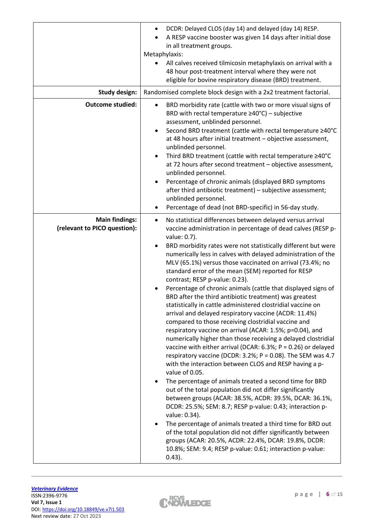|                                                       | DCDR: Delayed CLOS (day 14) and delayed (day 14) RESP.<br>$\bullet$<br>A RESP vaccine booster was given 14 days after initial dose<br>in all treatment groups.<br>Metaphylaxis:<br>All calves received tilmicosin metaphylaxis on arrival with a<br>48 hour post-treatment interval where they were not<br>eligible for bovine respiratory disease (BRD) treatment.                                                                                                                                                                                                                                                                                                                                                                                                                                                                                                                                                                                                                                                                                                                                                                                                                                                                                                                                                                                                                                                                                                                                                                                                                                                                                      |
|-------------------------------------------------------|----------------------------------------------------------------------------------------------------------------------------------------------------------------------------------------------------------------------------------------------------------------------------------------------------------------------------------------------------------------------------------------------------------------------------------------------------------------------------------------------------------------------------------------------------------------------------------------------------------------------------------------------------------------------------------------------------------------------------------------------------------------------------------------------------------------------------------------------------------------------------------------------------------------------------------------------------------------------------------------------------------------------------------------------------------------------------------------------------------------------------------------------------------------------------------------------------------------------------------------------------------------------------------------------------------------------------------------------------------------------------------------------------------------------------------------------------------------------------------------------------------------------------------------------------------------------------------------------------------------------------------------------------------|
| <b>Study design:</b>                                  | Randomised complete block design with a 2x2 treatment factorial.                                                                                                                                                                                                                                                                                                                                                                                                                                                                                                                                                                                                                                                                                                                                                                                                                                                                                                                                                                                                                                                                                                                                                                                                                                                                                                                                                                                                                                                                                                                                                                                         |
| <b>Outcome studied:</b>                               | BRD morbidity rate (cattle with two or more visual signs of<br>$\bullet$<br>BRD with rectal temperature $\geq$ 40°C) - subjective<br>assessment, unblinded personnel.<br>Second BRD treatment (cattle with rectal temperature ≥40°C<br>٠<br>at 48 hours after initial treatment - objective assessment,<br>unblinded personnel.<br>Third BRD treatment (cattle with rectal temperature ≥40°C<br>٠<br>at 72 hours after second treatment - objective assessment,<br>unblinded personnel.<br>Percentage of chronic animals (displayed BRD symptoms<br>٠<br>after third antibiotic treatment) - subjective assessment;<br>unblinded personnel.<br>Percentage of dead (not BRD-specific) in 56-day study.<br>٠                                                                                                                                                                                                                                                                                                                                                                                                                                                                                                                                                                                                                                                                                                                                                                                                                                                                                                                                               |
| <b>Main findings:</b><br>(relevant to PICO question): | No statistical differences between delayed versus arrival<br>$\bullet$<br>vaccine administration in percentage of dead calves (RESP p-<br>value: 0.7).<br>BRD morbidity rates were not statistically different but were<br>٠<br>numerically less in calves with delayed administration of the<br>MLV (65.1%) versus those vaccinated on arrival (73.4%; no<br>standard error of the mean (SEM) reported for RESP<br>contrast; RESP p-value: 0.23).<br>Percentage of chronic animals (cattle that displayed signs of<br>BRD after the third antibiotic treatment) was greatest<br>statistically in cattle administered clostridial vaccine on<br>arrival and delayed respiratory vaccine (ACDR: 11.4%)<br>compared to those receiving clostridial vaccine and<br>respiratory vaccine on arrival (ACAR: 1.5%; p=0.04), and<br>numerically higher than those receiving a delayed clostridial<br>vaccine with either arrival (DCAR: 6.3%; $P = 0.26$ ) or delayed<br>respiratory vaccine (DCDR: 3.2%; $P = 0.08$ ). The SEM was 4.7<br>with the interaction between CLOS and RESP having a p-<br>value of 0.05.<br>The percentage of animals treated a second time for BRD<br>out of the total population did not differ significantly<br>between groups (ACAR: 38.5%, ACDR: 39.5%, DCAR: 36.1%,<br>DCDR: 25.5%; SEM: 8.7; RESP p-value: 0.43; interaction p-<br>value: 0.34).<br>The percentage of animals treated a third time for BRD out<br>$\bullet$<br>of the total population did not differ significantly between<br>groups (ACAR: 20.5%, ACDR: 22.4%, DCAR: 19.8%, DCDR:<br>10.8%; SEM: 9.4; RESP p-value: 0.61; interaction p-value:<br>$(0.43)$ . |

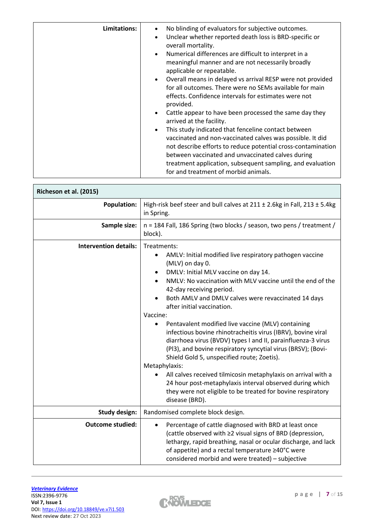| Limitations: | No blinding of evaluators for subjective outcomes.<br>Unclear whether reported death loss is BRD-specific or<br>overall mortality.<br>Numerical differences are difficult to interpret in a<br>meaningful manner and are not necessarily broadly<br>applicable or repeatable.<br>Overall means in delayed vs arrival RESP were not provided<br>for all outcomes. There were no SEMs available for main<br>effects. Confidence intervals for estimates were not<br>provided. |
|--------------|-----------------------------------------------------------------------------------------------------------------------------------------------------------------------------------------------------------------------------------------------------------------------------------------------------------------------------------------------------------------------------------------------------------------------------------------------------------------------------|
|              | Cattle appear to have been processed the same day they<br>arrived at the facility.<br>This study indicated that fenceline contact between<br>$\bullet$<br>vaccinated and non-vaccinated calves was possible. It did<br>not describe efforts to reduce potential cross-contamination<br>between vaccinated and unvaccinated calves during<br>treatment application, subsequent sampling, and evaluation<br>for and treatment of morbid animals.                              |

| Richeson et al. (2015)       |                                                                                                                                                                                                                                                                                                                                                                                                                                                                                                                                                                                                                                                                                                                                                                                                                                                                               |
|------------------------------|-------------------------------------------------------------------------------------------------------------------------------------------------------------------------------------------------------------------------------------------------------------------------------------------------------------------------------------------------------------------------------------------------------------------------------------------------------------------------------------------------------------------------------------------------------------------------------------------------------------------------------------------------------------------------------------------------------------------------------------------------------------------------------------------------------------------------------------------------------------------------------|
| <b>Population:</b>           | High-risk beef steer and bull calves at 211 ± 2.6kg in Fall, 213 ± 5.4kg<br>in Spring.                                                                                                                                                                                                                                                                                                                                                                                                                                                                                                                                                                                                                                                                                                                                                                                        |
| Sample size:                 | n = 184 Fall, 186 Spring (two blocks / season, two pens / treatment /<br>block).                                                                                                                                                                                                                                                                                                                                                                                                                                                                                                                                                                                                                                                                                                                                                                                              |
| <b>Intervention details:</b> | Treatments:<br>AMLV: Initial modified live respiratory pathogen vaccine<br>$\bullet$<br>(MLV) on day 0.<br>DMLV: Initial MLV vaccine on day 14.<br>NMLV: No vaccination with MLV vaccine until the end of the<br>42-day receiving period.<br>Both AMLV and DMLV calves were revaccinated 14 days<br>after initial vaccination.<br>Vaccine:<br>Pentavalent modified live vaccine (MLV) containing<br>infectious bovine rhinotracheitis virus (IBRV), bovine viral<br>diarrhoea virus (BVDV) types I and II, parainfluenza-3 virus<br>(PI3), and bovine respiratory syncytial virus (BRSV); (Bovi-<br>Shield Gold 5, unspecified route; Zoetis).<br>Metaphylaxis:<br>All calves received tilmicosin metaphylaxis on arrival with a<br>24 hour post-metaphylaxis interval observed during which<br>they were not eligible to be treated for bovine respiratory<br>disease (BRD). |
| <b>Study design:</b>         | Randomised complete block design.                                                                                                                                                                                                                                                                                                                                                                                                                                                                                                                                                                                                                                                                                                                                                                                                                                             |
| <b>Outcome studied:</b>      | Percentage of cattle diagnosed with BRD at least once<br>$\bullet$<br>(cattle observed with ≥2 visual signs of BRD (depression,<br>lethargy, rapid breathing, nasal or ocular discharge, and lack<br>of appetite) and a rectal temperature ≥40°C were<br>considered morbid and were treated) - subjective                                                                                                                                                                                                                                                                                                                                                                                                                                                                                                                                                                     |

 $\sim$ 

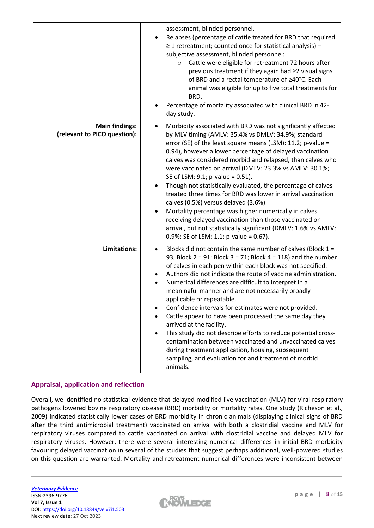|                                                       | assessment, blinded personnel.<br>Relapses (percentage of cattle treated for BRD that required<br>$\geq$ 1 retreatment; counted once for statistical analysis) -<br>subjective assessment, blinded personnel:<br>Cattle were eligible for retreatment 72 hours after<br>$\circ$<br>previous treatment if they again had ≥2 visual signs<br>of BRD and a rectal temperature of ≥40°C. Each<br>animal was eligible for up to five total treatments for<br>BRD.<br>Percentage of mortality associated with clinical BRD in 42-<br>day study.                                                                                                                                                                                                                                                                                                                      |
|-------------------------------------------------------|----------------------------------------------------------------------------------------------------------------------------------------------------------------------------------------------------------------------------------------------------------------------------------------------------------------------------------------------------------------------------------------------------------------------------------------------------------------------------------------------------------------------------------------------------------------------------------------------------------------------------------------------------------------------------------------------------------------------------------------------------------------------------------------------------------------------------------------------------------------|
| <b>Main findings:</b><br>(relevant to PICO question): | Morbidity associated with BRD was not significantly affected<br>by MLV timing (AMLV: 35.4% vs DMLV: 34.9%; standard<br>error (SE) of the least square means (LSM): 11.2; p-value =<br>0.94), however a lower percentage of delayed vaccination<br>calves was considered morbid and relapsed, than calves who<br>were vaccinated on arrival (DMLV: 23.3% vs AMLV: 30.1%;<br>SE of LSM: 9.1; p-value = 0.51).<br>Though not statistically evaluated, the percentage of calves<br>٠<br>treated three times for BRD was lower in arrival vaccination<br>calves (0.5%) versus delayed (3.6%).<br>Mortality percentage was higher numerically in calves<br>receiving delayed vaccination than those vaccinated on<br>arrival, but not statistically significant (DMLV: 1.6% vs AMLV:<br>0.9%; SE of LSM: 1.1; p-value = 0.67).                                       |
| Limitations:                                          | Blocks did not contain the same number of calves (Block $1 =$<br>$\bullet$<br>93; Block $2 = 91$ ; Block $3 = 71$ ; Block $4 = 118$ ) and the number<br>of calves in each pen within each block was not specified.<br>Authors did not indicate the route of vaccine administration.<br>Numerical differences are difficult to interpret in a<br>$\bullet$<br>meaningful manner and are not necessarily broadly<br>applicable or repeatable.<br>Confidence intervals for estimates were not provided.<br>Cattle appear to have been processed the same day they<br>arrived at the facility.<br>This study did not describe efforts to reduce potential cross-<br>$\bullet$<br>contamination between vaccinated and unvaccinated calves<br>during treatment application, housing, subsequent<br>sampling, and evaluation for and treatment of morbid<br>animals. |

# **Appraisal, application and reflection**

Overall, we identified no statistical evidence that delayed modified live vaccination (MLV) for viral respiratory pathogens lowered bovine respiratory disease (BRD) morbidity or mortality rates. One study (Richeson et al., 2009) indicated statistically lower cases of BRD morbidity in chronic animals (displaying clinical signs of BRD after the third antimicrobial treatment) vaccinated on arrival with both a clostridial vaccine and MLV for respiratory viruses compared to cattle vaccinated on arrival with clostridial vaccine and delayed MLV for respiratory viruses. However, there were several interesting numerical differences in initial BRD morbidity favouring delayed vaccination in several of the studies that suggest perhaps additional, well-powered studies on this question are warranted. Mortality and retreatment numerical differences were inconsistent between

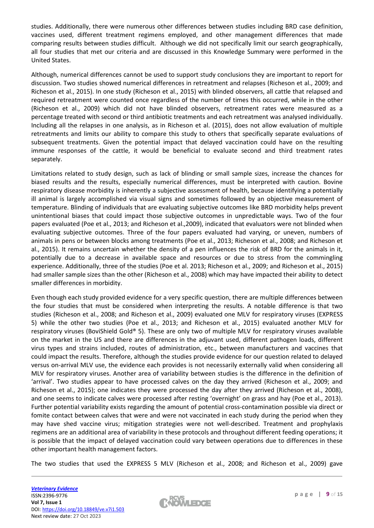studies. Additionally, there were numerous other differences between studies including BRD case definition, vaccines used, different treatment regimens employed, and other management differences that made comparing results between studies difficult. Although we did not specifically limit our search geographically, all four studies that met our criteria and are discussed in this Knowledge Summary were performed in the United States.

Although, numerical differences cannot be used to support study conclusions they are important to report for discussion. Two studies showed numerical differences in retreatment and relapses (Richeson et al., 2009; and Richeson et al., 2015). In one study (Richeson et al., 2015) with blinded observers, all cattle that relapsed and required retreatment were counted once regardless of the number of times this occurred, while in the other (Richeson et al., 2009) which did not have blinded observers, retreatment rates were measured as a percentage treated with second or third antibiotic treatments and each retreatment was analysed individually. Including all the relapses in one analysis, as in Richeson et al. (2015), does not allow evaluation of multiple retreatments and limits our ability to compare this study to others that specifically separate evaluations of subsequent treatments. Given the potential impact that delayed vaccination could have on the resulting immune responses of the cattle, it would be beneficial to evaluate second and third treatment rates separately.

Limitations related to study design, such as lack of blinding or small sample sizes, increase the chances for biased results and the results, especially numerical differences, must be interpreted with caution. Bovine respiratory disease morbidity is inherently a subjective assessment of health, because identifying a potentially ill animal is largely accomplished via visual signs and sometimes followed by an objective measurement of temperature. Blinding of individuals that are evaluating subjective outcomes like BRD morbidity helps prevent unintentional biases that could impact those subjective outcomes in unpredictable ways. Two of the four papers evaluated (Poe et al., 2013; and Richeson et al.,2009), indicated that evaluators were not blinded when evaluating subjective outcomes. Three of the four papers evaluated had varying, or uneven, numbers of animals in pens or between blocks among treatments (Poe et al., 2013; Richeson et al., 2008; and Richeson et al., 2015). It remains uncertain whether the density of a pen influences the risk of BRD for the animals in it, potentially due to a decrease in available space and resources or due to stress from the commingling experience. Additionally, three of the studies (Poe et al. 2013; Richeson et al., 2009; and Richeson et al., 2015) had smaller sample sizes than the other (Richeson et al., 2008) which may have impacted their ability to detect smaller differences in morbidity.

Even though each study provided evidence for a very specific question, there are multiple differences between the four studies that must be considered when interpreting the results. A notable difference is that two studies (Richeson et al., 2008; and Richeson et al., 2009) evaluated one MLV for respiratory viruses (EXPRESS 5) while the other two studies (Poe et al., 2013; and Richeson et al., 2015) evaluated another MLV for respiratory viruses (BoviShield Gold® 5). These are only two of multiple MLV for respiratory viruses available on the market in the US and there are differences in the adjuvant used, different pathogen loads, different virus types and strains included, routes of administration, etc., between manufacturers and vaccines that could impact the results. Therefore, although the studies provide evidence for our question related to delayed versus on-arrival MLV use, the evidence each provides is not necessarily externally valid when considering all MLV for respiratory viruses. Another area of variability between studies is the difference in the definition of 'arrival'. Two studies appear to have processed calves on the day they arrived (Richeson et al., 2009; and Richeson et al., 2015); one indicates they were processed the day after they arrived (Richeson et al., 2008), and one seems to indicate calves were processed after resting 'overnight' on grass and hay (Poe et al., 2013). Further potential variability exists regarding the amount of potential cross-contamination possible via direct or fomite contact between calves that were and were not vaccinated in each study during the period when they may have shed vaccine virus; mitigation strategies were not well-described. Treatment and prophylaxis regimens are an additional area of variability in these protocols and throughout different feeding operations; it is possible that the impact of delayed vaccination could vary between operations due to differences in these other important health management factors.

The two studies that used the EXPRESS 5 MLV (Richeson et al., 2008; and Richeson et al., 2009) gave

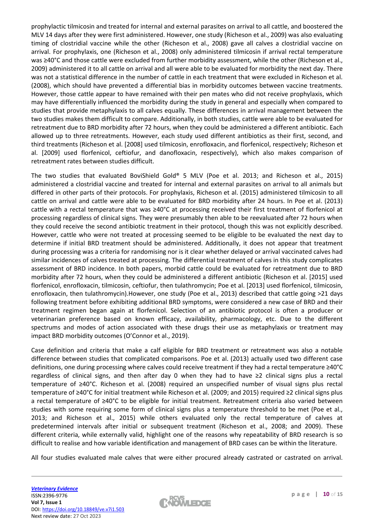prophylactic tilmicosin and treated for internal and external parasites on arrival to all cattle, and boostered the MLV 14 days after they were first administered. However, one study (Richeson et al., 2009) was also evaluating timing of clostridial vaccine while the other (Richeson et al., 2008) gave all calves a clostridial vaccine on arrival. For prophylaxis, one (Richeson et al., 2008) only administered tilmicosin if arrival rectal temperature was ≥40°C and those cattle were excluded from further morbidity assessment, while the other (Richeson et al., 2009) administered it to all cattle on arrival and all were able to be evaluated for morbidity the next day. There was not a statistical difference in the number of cattle in each treatment that were excluded in Richeson et al. (2008), which should have prevented a differential bias in morbidity outcomes between vaccine treatments. However, those cattle appear to have remained with their pen mates who did not receive prophylaxis, which may have differentially influenced the morbidity during the study in general and especially when compared to studies that provide metaphylaxis to all calves equally. These differences in arrival management between the two studies makes them difficult to compare. Additionally, in both studies, cattle were able to be evaluated for retreatment due to BRD morbidity after 72 hours, when they could be administered a different antibiotic. Each allowed up to three retreatments. However, each study used different antibiotics as their first, second, and third treatments (Richeson et al. [2008] used tilmicosin, enrofloxacin, and florfenicol, respectively; Richeson et al. [2009] used florfenicol, ceftiofur, and danofloxacin, respectively), which also makes comparison of retreatment rates between studies difficult.

The two studies that evaluated BoviShield Gold® 5 MLV (Poe et al. 2013; and Richeson et al., 2015) administered a clostridial vaccine and treated for internal and external parasites on arrival to all animals but differed in other parts of their protocols. For prophylaxis, Richeson et al. (2015) administered tilmicosin to all cattle on arrival and cattle were able to be evaluated for BRD morbidity after 24 hours. In Poe et al. (2013) cattle with a rectal temperature that was ≥40°C at processing received their first treatment of florfenicol at processing regardless of clinical signs. They were presumably then able to be reevaluated after 72 hours when they could receive the second antibiotic treatment in their protocol, though this was not explicitly described. However, cattle who were not treated at processing seemed to be eligible to be evaluated the next day to determine if initial BRD treatment should be administered. Additionally, it does not appear that treatment during processing was a criteria for randomising nor is it clear whether delayed or arrival vaccinated calves had similar incidences of calves treated at processing. The differential treatment of calves in this study complicates assessment of BRD incidence. In both papers, morbid cattle could be evaluated for retreatment due to BRD morbidity after 72 hours, when they could be administered a different antibiotic (Richeson et al. [2015] used florfenicol, enrofloxacin, tilmicosin, ceftiofur, then tulathromycin; Poe et al. [2013] used florfenicol, tilmicosin, enrofloxacin, then tulathromycin).However, one study (Poe et al., 2013) described that cattle going >21 days following treatment before exhibiting additional BRD symptoms, were considered a new case of BRD and their treatment regimen began again at florfenicol. Selection of an antibiotic protocol is often a producer or veterinarian preference based on known efficacy, availability, pharmacology, etc. Due to the different spectrums and modes of action associated with these drugs their use as metaphylaxis or treatment may impact BRD morbidity outcomes (O'Connor et al., 2019).

Case definition and criteria that make a calf eligible for BRD treatment or retreatment was also a notable difference between studies that complicated comparisons. Poe et al. (2013) actually used two different case definitions, one during processing where calves could receive treatment if they had a rectal temperature ≥40°C regardless of clinical signs, and then after day 0 when they had to have ≥2 clinical signs plus a rectal temperature of ≥40°C. Richeson et al. (2008) required an unspecified number of visual signs plus rectal temperature of ≥40°C for initial treatment while Richeson et al. (2009; and 2015) required ≥2 clinical signs plus a rectal temperature of ≥40°C to be eligible for initial treatment. Retreatment criteria also varied between studies with some requiring some form of clinical signs plus a temperature threshold to be met (Poe et al., 2013; and Richeson et al., 2015) while others evaluated only the rectal temperature of calves at predetermined intervals after initial or subsequent treatment (Richeson et al., 2008; and 2009). These different criteria, while externally valid, highlight one of the reasons why repeatability of BRD research is so difficult to realise and how variable identification and management of BRD cases can be within the literature.

All four studies evaluated male calves that were either procured already castrated or castrated on arrival.

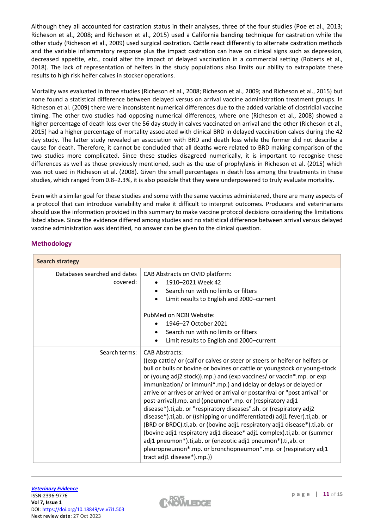Although they all accounted for castration status in their analyses, three of the four studies (Poe et al., 2013; Richeson et al., 2008; and Richeson et al., 2015) used a California banding technique for castration while the other study (Richeson et al., 2009) used surgical castration. Cattle react differently to alternate castration methods and the variable inflammatory response plus the impact castration can have on clinical signs such as depression, decreased appetite, etc., could alter the impact of delayed vaccination in a commercial setting (Roberts et al., 2018). The lack of representation of heifers in the study populations also limits our ability to extrapolate these results to high risk heifer calves in stocker operations.

Mortality was evaluated in three studies (Richeson et al., 2008; Richeson et al., 2009; and Richeson et al., 2015) but none found a statistical difference between delayed versus on arrival vaccine administration treatment groups. In Richeson et al. (2009) there were inconsistent numerical differences due to the added variable of clostridial vaccine timing. The other two studies had opposing numerical differences, where one (Richeson et al., 2008) showed a higher percentage of death loss over the 56 day study in calves vaccinated on arrival and the other (Richeson et al., 2015) had a higher percentage of mortality associated with clinical BRD in delayed vaccination calves during the 42 day study. The latter study revealed an association with BRD and death loss while the former did not describe a cause for death. Therefore, it cannot be concluded that all deaths were related to BRD making comparison of the two studies more complicated. Since these studies disagreed numerically, it is important to recognise these differences as well as those previously mentioned, such as the use of prophylaxis in Richeson et al. (2015) which was not used in Richeson et al. (2008). Given the small percentages in death loss among the treatments in these studies, which ranged from 0.8–2.3%, it is also possible that they were underpowered to truly evaluate mortality.

Even with a similar goal for these studies and some with the same vaccines administered, there are many aspects of a protocol that can introduce variability and make it difficult to interpret outcomes. Producers and veterinarians should use the information provided in this summary to make vaccine protocol decisions considering the limitations listed above. Since the evidence differed among studies and no statistical difference between arrival versus delayed vaccine administration was identified, no answer can be given to the clinical question.

| <b>Search strategy</b>                   |                                                                                                                                                                                                                                                                                                                                                                                                                                                                                                                                                                                                                                                                                                                                                                                                                                                                                                                                                      |
|------------------------------------------|------------------------------------------------------------------------------------------------------------------------------------------------------------------------------------------------------------------------------------------------------------------------------------------------------------------------------------------------------------------------------------------------------------------------------------------------------------------------------------------------------------------------------------------------------------------------------------------------------------------------------------------------------------------------------------------------------------------------------------------------------------------------------------------------------------------------------------------------------------------------------------------------------------------------------------------------------|
| Databases searched and dates<br>covered: | CAB Abstracts on OVID platform:<br>1910-2021 Week 42<br>Search run with no limits or filters<br>٠<br>Limit results to English and 2000-current<br>PubMed on NCBI Website:<br>1946-27 October 2021<br>$\bullet$<br>Search run with no limits or filters<br>Limit results to English and 2000-current                                                                                                                                                                                                                                                                                                                                                                                                                                                                                                                                                                                                                                                  |
| Search terms:                            | <b>CAB Abstracts:</b><br>((exp cattle/ or (calf or calves or steer or steers or heifer or heifers or<br>bull or bulls or bovine or bovines or cattle or youngstock or young-stock<br>or (young adj2 stock)).mp.) and (exp vaccines/ or vaccin*.mp. or exp<br>immunization/ or immuni*.mp.) and (delay or delays or delayed or<br>arrive or arrives or arrived or arrival or postarrival or "post arrival" or<br>post-arrival).mp. and (pneumon*.mp. or (respiratory adj1<br>disease*).ti,ab. or "respiratory diseases".sh. or (respiratory adj2<br>disease*).ti,ab. or ((shipping or undifferentiated) adj1 fever).ti,ab. or<br>(BRD or BRDC).ti, ab. or (bovine adj1 respiratory adj1 disease*).ti, ab. or<br>(bovine adj1 respiratory adj1 disease* adj1 complex).ti,ab. or (summer<br>adj1 pneumon*).ti,ab. or (enzootic adj1 pneumon*).ti,ab. or<br>pleuropneumon*.mp. or bronchopneumon*.mp. or (respiratory adj1<br>tract adj1 disease*).mp.)) |

# **Methodology**

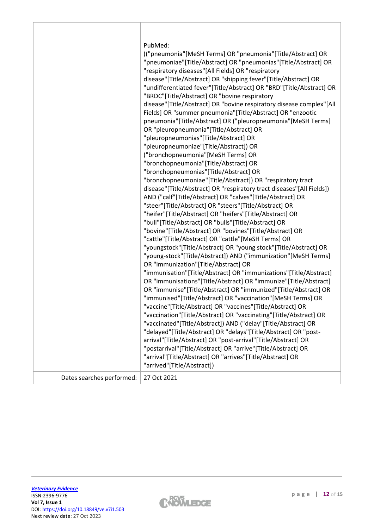|                           | PubMed:<br>(("pneumonia"[MeSH Terms] OR "pneumonia"[Title/Abstract] OR<br>"pneumoniae"[Title/Abstract] OR "pneumonias"[Title/Abstract] OR<br>"respiratory diseases"[All Fields] OR "respiratory<br>disease"[Title/Abstract] OR "shipping fever"[Title/Abstract] OR<br>"undifferentiated fever"[Title/Abstract] OR "BRD"[Title/Abstract] OR<br>"BRDC"[Title/Abstract] OR "bovine respiratory<br>disease"[Title/Abstract] OR "bovine respiratory disease complex"[All<br>Fields] OR "summer pneumonia"[Title/Abstract] OR "enzootic<br>pneumonia"[Title/Abstract] OR ("pleuropneumonia"[MeSH Terms]<br>OR "pleuropneumonia"[Title/Abstract] OR<br>"pleuropneumonias"[Title/Abstract] OR<br>"pleuropneumoniae"[Title/Abstract]) OR<br>("bronchopneumonia"[MeSH Terms] OR<br>"bronchopneumonia"[Title/Abstract] OR<br>"bronchopneumonias"[Title/Abstract] OR<br>"bronchopneumoniae"[Title/Abstract]) OR "respiratory tract<br>disease"[Title/Abstract] OR "respiratory tract diseases"[All Fields])<br>AND ("calf"[Title/Abstract] OR "calves"[Title/Abstract] OR<br>"steer"[Title/Abstract] OR "steers"[Title/Abstract] OR<br>"heifer"[Title/Abstract] OR "heifers"[Title/Abstract] OR<br>"bull"[Title/Abstract] OR "bulls"[Title/Abstract] OR<br>"bovine"[Title/Abstract] OR "bovines"[Title/Abstract] OR<br>"cattle"[Title/Abstract] OR "cattle"[MeSH Terms] OR<br>"youngstock"[Title/Abstract] OR "young stock"[Title/Abstract] OR<br>"young-stock"[Title/Abstract]) AND ("immunization"[MeSH Terms]<br>OR "immunization"[Title/Abstract] OR<br>"immunisation"[Title/Abstract] OR "immunizations"[Title/Abstract]<br>OR "immunisations"[Title/Abstract] OR "immunize"[Title/Abstract]<br>OR "immunise"[Title/Abstract] OR "immunized"[Title/Abstract] OR<br>"immunised"[Title/Abstract] OR "vaccination"[MeSH Terms] OR<br>"vaccine"[Title/Abstract] OR "vaccines"[Title/Abstract] OR<br>"vaccination"[Title/Abstract] OR "vaccinating"[Title/Abstract] OR<br>"vaccinated"[Title/Abstract]) AND ("delay"[Title/Abstract] OR |
|---------------------------|-----------------------------------------------------------------------------------------------------------------------------------------------------------------------------------------------------------------------------------------------------------------------------------------------------------------------------------------------------------------------------------------------------------------------------------------------------------------------------------------------------------------------------------------------------------------------------------------------------------------------------------------------------------------------------------------------------------------------------------------------------------------------------------------------------------------------------------------------------------------------------------------------------------------------------------------------------------------------------------------------------------------------------------------------------------------------------------------------------------------------------------------------------------------------------------------------------------------------------------------------------------------------------------------------------------------------------------------------------------------------------------------------------------------------------------------------------------------------------------------------------------------------------------------------------------------------------------------------------------------------------------------------------------------------------------------------------------------------------------------------------------------------------------------------------------------------------------------------------------------------------------------------------------------------------------------------------------------------------------------------------------------------------|
|                           | "delayed"[Title/Abstract] OR "delays"[Title/Abstract] OR "post-<br>arrival"[Title/Abstract] OR "post-arrival"[Title/Abstract] OR<br>"postarrival"[Title/Abstract] OR "arrive"[Title/Abstract] OR                                                                                                                                                                                                                                                                                                                                                                                                                                                                                                                                                                                                                                                                                                                                                                                                                                                                                                                                                                                                                                                                                                                                                                                                                                                                                                                                                                                                                                                                                                                                                                                                                                                                                                                                                                                                                            |
|                           | "arrival"[Title/Abstract] OR "arrives"[Title/Abstract] OR<br>"arrived"[Title/Abstract])                                                                                                                                                                                                                                                                                                                                                                                                                                                                                                                                                                                                                                                                                                                                                                                                                                                                                                                                                                                                                                                                                                                                                                                                                                                                                                                                                                                                                                                                                                                                                                                                                                                                                                                                                                                                                                                                                                                                     |
| Dates searches performed: | 27 Oct 2021                                                                                                                                                                                                                                                                                                                                                                                                                                                                                                                                                                                                                                                                                                                                                                                                                                                                                                                                                                                                                                                                                                                                                                                                                                                                                                                                                                                                                                                                                                                                                                                                                                                                                                                                                                                                                                                                                                                                                                                                                 |

 $\overline{1}$ 

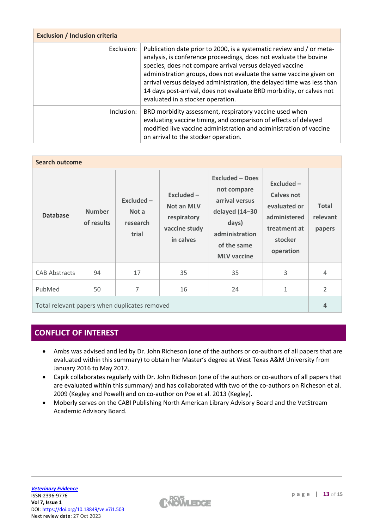| <b>Exclusion / Inclusion criteria</b> |                                                                                                                                                                                                                                                                                                                                                                                                                                                                    |
|---------------------------------------|--------------------------------------------------------------------------------------------------------------------------------------------------------------------------------------------------------------------------------------------------------------------------------------------------------------------------------------------------------------------------------------------------------------------------------------------------------------------|
| Exclusion:                            | Publication date prior to 2000, is a systematic review and / or meta-<br>analysis, is conference proceedings, does not evaluate the bovine<br>species, does not compare arrival versus delayed vaccine<br>administration groups, does not evaluate the same vaccine given on<br>arrival versus delayed administration, the delayed time was less than<br>14 days post-arrival, does not evaluate BRD morbidity, or calves not<br>evaluated in a stocker operation. |
| Inclusion:                            | BRD morbidity assessment, respiratory vaccine used when<br>evaluating vaccine timing, and comparison of effects of delayed<br>modified live vaccine administration and administration of vaccine<br>on arrival to the stocker operation.                                                                                                                                                                                                                           |

| <b>Search outcome</b>                         |                             |                                            |                                                                                |                                                                                                                                           |                                                                                                           |                                    |
|-----------------------------------------------|-----------------------------|--------------------------------------------|--------------------------------------------------------------------------------|-------------------------------------------------------------------------------------------------------------------------------------------|-----------------------------------------------------------------------------------------------------------|------------------------------------|
| <b>Database</b>                               | <b>Number</b><br>of results | $Excluded -$<br>Not a<br>research<br>trial | $Excluded -$<br><b>Not an MLV</b><br>respiratory<br>vaccine study<br>in calves | <b>Excluded - Does</b><br>not compare<br>arrival versus<br>delayed (14-30<br>days)<br>administration<br>of the same<br><b>MLV</b> vaccine | Excluded $-$<br><b>Calves not</b><br>evaluated or<br>administered<br>treatment at<br>stocker<br>operation | <b>Total</b><br>relevant<br>papers |
| <b>CAB Abstracts</b>                          | 94                          | 17                                         | 35                                                                             | 35                                                                                                                                        | 3                                                                                                         | $\overline{4}$                     |
| PubMed                                        | 50                          | 7                                          | 16                                                                             | 24                                                                                                                                        | $\mathbf{1}$                                                                                              | $\overline{2}$                     |
| Total relevant papers when duplicates removed |                             |                                            |                                                                                |                                                                                                                                           |                                                                                                           | $\overline{4}$                     |

# **CONFLICT OF INTEREST**

- Ambs was advised and led by Dr. John Richeson (one of the authors or co-authors of all papers that are evaluated within this summary) to obtain her Master's degree at West Texas A&M University from January 2016 to May 2017.
- Capik collaborates regularly with Dr. John Richeson (one of the authors or co-authors of all papers that are evaluated within this summary) and has collaborated with two of the co-authors on Richeson et al. 2009 (Kegley and Powell) and on co-author on Poe et al. 2013 (Kegley).
- Moberly serves on the CABI Publishing North American Library Advisory Board and the VetStream Academic Advisory Board.

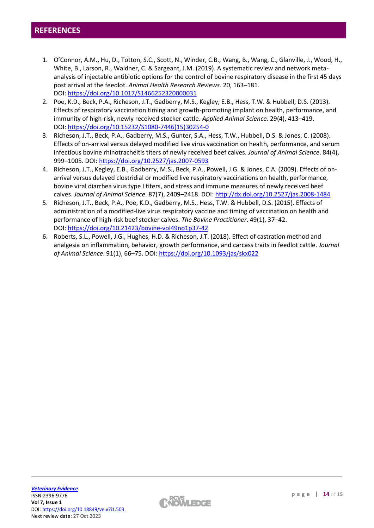- 1. O'Connor, A.M., Hu, D., Totton, S.C., Scott, N., Winder, C.B., Wang, B., Wang, C., Glanville, J., Wood, H., White, B., Larson, R., Waldner, C. & Sargeant, J.M. (2019). A systematic review and network metaanalysis of injectable antibiotic options for the control of bovine respiratory disease in the first 45 days post arrival at the feedlot. *Animal Health Research Reviews*. 20, 163–181. DOI: <https://doi.org/10.1017/S1466252320000031>
- 2. Poe, K.D., Beck, P.A., Richeson, J.T., Gadberry, M.S., Kegley, E.B., Hess, T.W. & Hubbell, D.S. (2013). Effects of respiratory vaccination timing and growth-promoting implant on health, performance, and immunity of high-risk, newly received stocker cattle. *Applied Animal Science*. 29(4), 413–419. DOI: [https://doi.org/10.15232/S1080-7446\(15\)30254-0](https://doi.org/10.15232/S1080-7446(15)30254-0)
- 3. Richeson, J.T., Beck, P.A., Gadberry, M.S., Gunter, S.A., Hess, T.W., Hubbell, D.S. & Jones, C. (2008). Effects of on-arrival versus delayed modified live virus vaccination on health, performance, and serum infectious bovine rhinotracheitis titers of newly received beef calves. *Journal of Animal Science*. 84(4), 999–1005. DOI: <https://doi.org/10.2527/jas.2007-0593>
- 4. Richeson, J.T., Kegley, E.B., Gadberry, M.S., Beck, P.A., Powell, J.G. & Jones, C.A. (2009). Effects of onarrival versus delayed clostridial or modified live respiratory vaccinations on health, performance, bovine viral diarrhea virus type I titers, and stress and immune measures of newly received beef calves. *Journal of Animal Science*. 87(7), 2409–2418. DOI: <http://dx.doi.org/10.2527/jas.2008-1484>
- 5. Richeson, J.T., Beck, P.A., Poe, K.D., Gadberry, M.S., Hess, T.W. & Hubbell, D.S. (2015). Effects of administration of a modified-live virus respiratory vaccine and timing of vaccination on health and performance of high-risk beef stocker calves. *The Bovine Practitioner*. 49(1), 37–42. DOI: <https://doi.org/10.21423/bovine-vol49no1p37-42>
- 6. Roberts, S.L., Powell, J.G., Hughes, H.D. & Richeson, J.T. (2018). Effect of castration method and analgesia on inflammation, behavior, growth performance, and carcass traits in feedlot cattle. *Journal of Animal Science*. 91(1), 66–75. DOI: <https://doi.org/10.1093/jas/skx022>